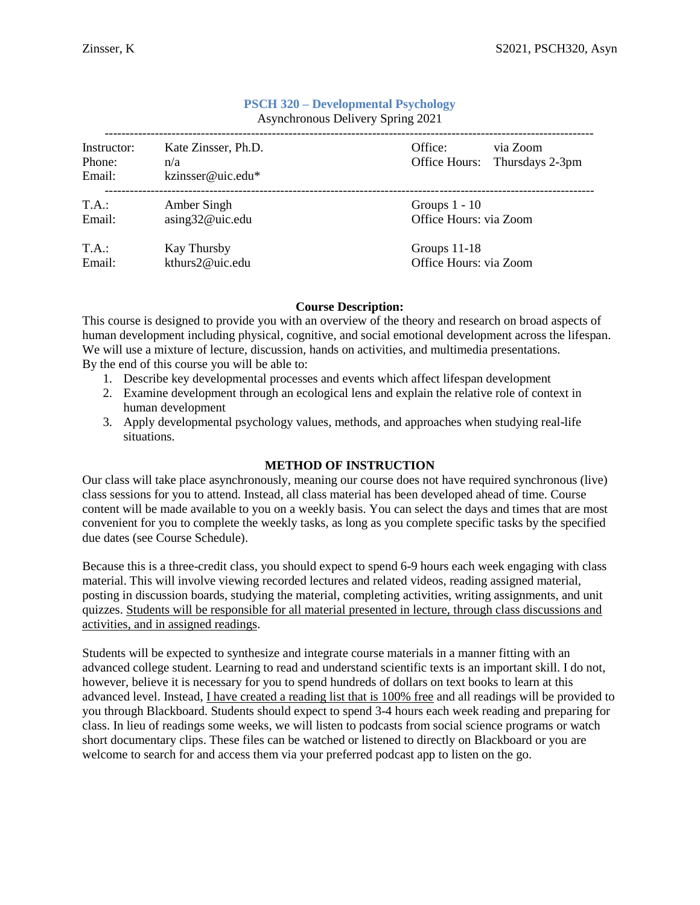| Instructor: | Kate Zinsser, Ph.D. | via Zoom<br>Office:                       |  |  |  |
|-------------|---------------------|-------------------------------------------|--|--|--|
| Phone:      | n/a                 | Office Hours: Thursdays 2-3pm             |  |  |  |
| Email:      | kzinsser@uic.edu*   |                                           |  |  |  |
| T.A.:       | Amber Singh         | Groups $1 - 10$<br>Office Hours: via Zoom |  |  |  |
| Email:      | asing32@uic.edu     |                                           |  |  |  |
| T.A.:       | <b>Kay Thursby</b>  | Groups 11-18                              |  |  |  |
| Email:      | kthurs2@uic.edu     | Office Hours: via Zoom                    |  |  |  |

### **PSCH 320 – Developmental Psychology** Asynchronous Delivery Spring 2021

### **Course Description:**

This course is designed to provide you with an overview of the theory and research on broad aspects of human development including physical, cognitive, and social emotional development across the lifespan. We will use a mixture of lecture, discussion, hands on activities, and multimedia presentations. By the end of this course you will be able to:

- 1. Describe key developmental processes and events which affect lifespan development
- 2. Examine development through an ecological lens and explain the relative role of context in human development
- 3. Apply developmental psychology values, methods, and approaches when studying real-life situations.

### **METHOD OF INSTRUCTION**

Our class will take place asynchronously, meaning our course does not have required synchronous (live) class sessions for you to attend. Instead, all class material has been developed ahead of time. Course content will be made available to you on a weekly basis. You can select the days and times that are most convenient for you to complete the weekly tasks, as long as you complete specific tasks by the specified due dates (see Course Schedule).

Because this is a three-credit class, you should expect to spend 6-9 hours each week engaging with class material. This will involve viewing recorded lectures and related videos, reading assigned material, posting in discussion boards, studying the material, completing activities, writing assignments, and unit quizzes. Students will be responsible for all material presented in lecture, through class discussions and activities, and in assigned readings.

Students will be expected to synthesize and integrate course materials in a manner fitting with an advanced college student. Learning to read and understand scientific texts is an important skill. I do not, however, believe it is necessary for you to spend hundreds of dollars on text books to learn at this advanced level. Instead, I have created a reading list that is 100% free and all readings will be provided to you through Blackboard. Students should expect to spend 3-4 hours each week reading and preparing for class. In lieu of readings some weeks, we will listen to podcasts from social science programs or watch short documentary clips. These files can be watched or listened to directly on Blackboard or you are welcome to search for and access them via your preferred podcast app to listen on the go.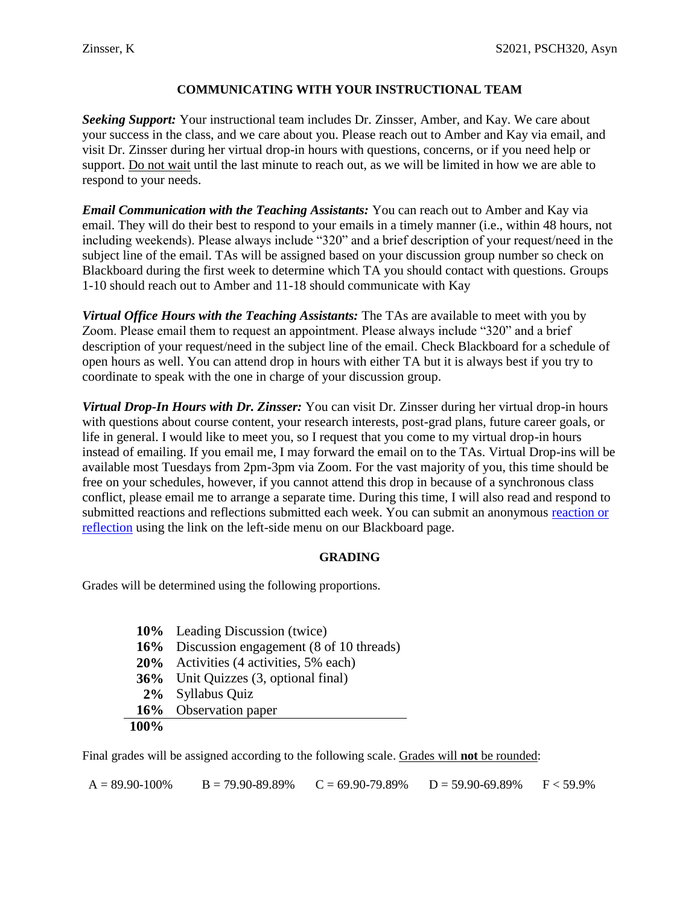## **COMMUNICATING WITH YOUR INSTRUCTIONAL TEAM**

*Seeking Support:* Your instructional team includes Dr. Zinsser, Amber, and Kay. We care about your success in the class, and we care about you. Please reach out to Amber and Kay via email, and visit Dr. Zinsser during her virtual drop-in hours with questions, concerns, or if you need help or support. Do not wait until the last minute to reach out, as we will be limited in how we are able to respond to your needs.

*Email Communication with the Teaching Assistants:* You can reach out to Amber and Kay via email. They will do their best to respond to your emails in a timely manner (i.e., within 48 hours, not including weekends). Please always include "320" and a brief description of your request/need in the subject line of the email. TAs will be assigned based on your discussion group number so check on Blackboard during the first week to determine which TA you should contact with questions. Groups 1-10 should reach out to Amber and 11-18 should communicate with Kay

*Virtual Office Hours with the Teaching Assistants:* The TAs are available to meet with you by Zoom. Please email them to request an appointment. Please always include "320" and a brief description of your request/need in the subject line of the email. Check Blackboard for a schedule of open hours as well. You can attend drop in hours with either TA but it is always best if you try to coordinate to speak with the one in charge of your discussion group.

*Virtual Drop-In Hours with Dr. Zinsser:* You can visit Dr. Zinsser during her virtual drop-in hours with questions about course content, your research interests, post-grad plans, future career goals, or life in general. I would like to meet you, so I request that you come to my virtual drop-in hours instead of emailing. If you email me, I may forward the email on to the TAs. Virtual Drop-ins will be available most Tuesdays from 2pm-3pm via Zoom. For the vast majority of you, this time should be free on your schedules, however, if you cannot attend this drop in because of a synchronous class conflict, please email me to arrange a separate time. During this time, I will also read and respond to submitted reactions and reflections submitted each week. You can submit an anonymous [reaction or](https://docs.google.com/forms/d/e/1FAIpQLSeVUrxBVSFb-bfNPL4v-W5FVdm5McS-g1e7qJDkyPEab1a0RQ/viewform)  [reflection](https://docs.google.com/forms/d/e/1FAIpQLSeVUrxBVSFb-bfNPL4v-W5FVdm5McS-g1e7qJDkyPEab1a0RQ/viewform) using the link on the left-side menu on our Blackboard page.

## **GRADING**

Grades will be determined using the following proportions.

|      | 10% Leading Discussion (twice)              |
|------|---------------------------------------------|
|      | 16% Discussion engagement (8 of 10 threads) |
|      | 20% Activities (4 activities, 5% each)      |
|      | <b>36%</b> Unit Quizzes (3, optional final) |
|      | 2% Syllabus Quiz                            |
|      | 16% Observation paper                       |
| 100% |                                             |

Final grades will be assigned according to the following scale. Grades will **not** be rounded:

 $A = 89.90-100\%$  B = 79.90-89.89% C = 69.90-79.89% D = 59.90-69.89% F < 59.9%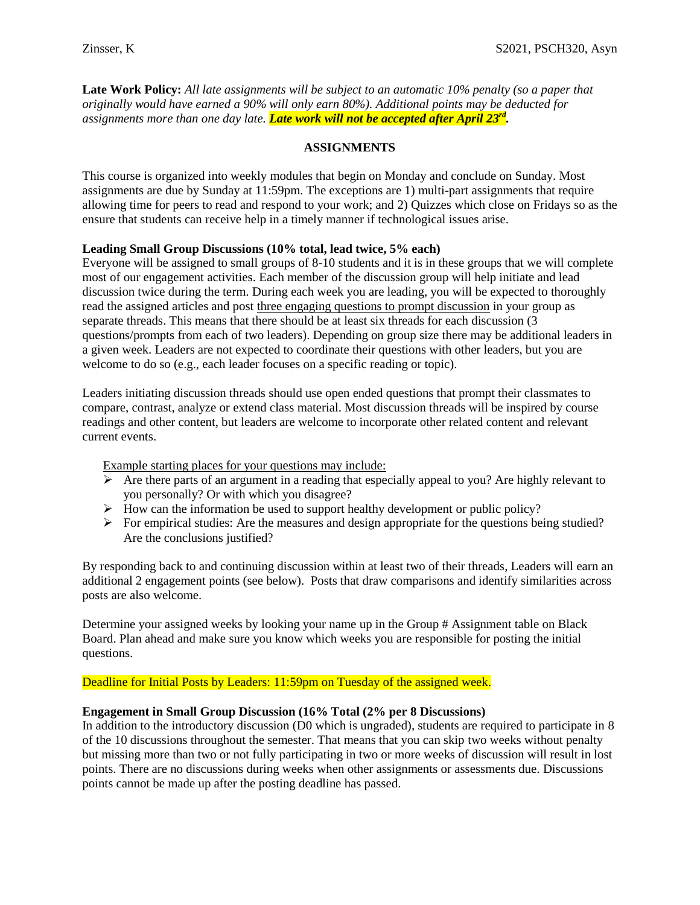**Late Work Policy:** *All late assignments will be subject to an automatic 10% penalty (so a paper that originally would have earned a 90% will only earn 80%). Additional points may be deducted for assignments more than one day late. Late work will not be accepted after April 23 rd .*

### **ASSIGNMENTS**

This course is organized into weekly modules that begin on Monday and conclude on Sunday. Most assignments are due by Sunday at 11:59pm. The exceptions are 1) multi-part assignments that require allowing time for peers to read and respond to your work; and 2) Quizzes which close on Fridays so as the ensure that students can receive help in a timely manner if technological issues arise.

### **Leading Small Group Discussions (10% total, lead twice, 5% each)**

Everyone will be assigned to small groups of 8-10 students and it is in these groups that we will complete most of our engagement activities. Each member of the discussion group will help initiate and lead discussion twice during the term. During each week you are leading, you will be expected to thoroughly read the assigned articles and post three engaging questions to prompt discussion in your group as separate threads. This means that there should be at least six threads for each discussion (3 questions/prompts from each of two leaders). Depending on group size there may be additional leaders in a given week. Leaders are not expected to coordinate their questions with other leaders, but you are welcome to do so (e.g., each leader focuses on a specific reading or topic).

Leaders initiating discussion threads should use open ended questions that prompt their classmates to compare, contrast, analyze or extend class material. Most discussion threads will be inspired by course readings and other content, but leaders are welcome to incorporate other related content and relevant current events.

Example starting places for your questions may include:

- $\triangleright$  Are there parts of an argument in a reading that especially appeal to you? Are highly relevant to you personally? Or with which you disagree?
- $\triangleright$  How can the information be used to support healthy development or public policy?
- $\triangleright$  For empirical studies: Are the measures and design appropriate for the questions being studied? Are the conclusions justified?

By responding back to and continuing discussion within at least two of their threads, Leaders will earn an additional 2 engagement points (see below). Posts that draw comparisons and identify similarities across posts are also welcome.

Determine your assigned weeks by looking your name up in the Group # Assignment table on Black Board. Plan ahead and make sure you know which weeks you are responsible for posting the initial questions.

Deadline for Initial Posts by Leaders: 11:59pm on Tuesday of the assigned week.

### **Engagement in Small Group Discussion (16% Total (2% per 8 Discussions)**

In addition to the introductory discussion (D0 which is ungraded), students are required to participate in 8 of the 10 discussions throughout the semester. That means that you can skip two weeks without penalty but missing more than two or not fully participating in two or more weeks of discussion will result in lost points. There are no discussions during weeks when other assignments or assessments due. Discussions points cannot be made up after the posting deadline has passed.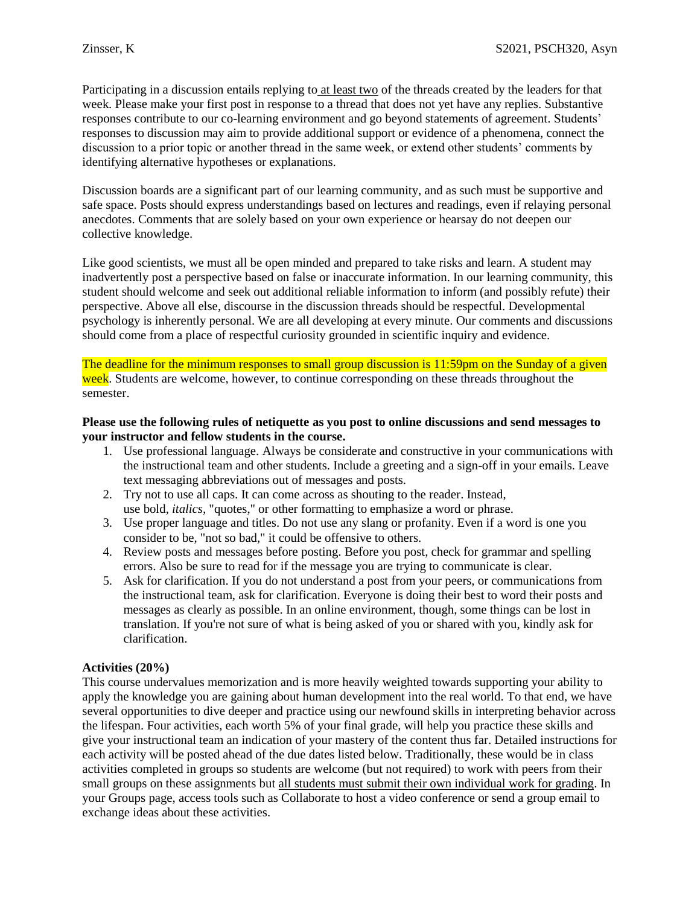Participating in a discussion entails replying to at least two of the threads created by the leaders for that week. Please make your first post in response to a thread that does not yet have any replies. Substantive responses contribute to our co-learning environment and go beyond statements of agreement. Students' responses to discussion may aim to provide additional support or evidence of a phenomena, connect the discussion to a prior topic or another thread in the same week, or extend other students' comments by identifying alternative hypotheses or explanations.

Discussion boards are a significant part of our learning community, and as such must be supportive and safe space. Posts should express understandings based on lectures and readings, even if relaying personal anecdotes. Comments that are solely based on your own experience or hearsay do not deepen our collective knowledge.

Like good scientists, we must all be open minded and prepared to take risks and learn. A student may inadvertently post a perspective based on false or inaccurate information. In our learning community, this student should welcome and seek out additional reliable information to inform (and possibly refute) their perspective. Above all else, discourse in the discussion threads should be respectful. Developmental psychology is inherently personal. We are all developing at every minute. Our comments and discussions should come from a place of respectful curiosity grounded in scientific inquiry and evidence.

The deadline for the minimum responses to small group discussion is 11:59pm on the Sunday of a given week. Students are welcome, however, to continue corresponding on these threads throughout the semester.

### **Please use the following rules of netiquette as you post to online discussions and send messages to your instructor and fellow students in the course.**

- 1. Use professional language. Always be considerate and constructive in your communications with the instructional team and other students. Include a greeting and a sign-off in your emails. Leave text messaging abbreviations out of messages and posts.
- 2. Try not to use all caps. It can come across as shouting to the reader. Instead, use bold, *italics,* "quotes," or other formatting to emphasize a word or phrase.
- 3. Use proper language and titles. Do not use any slang or profanity. Even if a word is one you consider to be, "not so bad," it could be offensive to others.
- 4. Review posts and messages before posting. Before you post, check for grammar and spelling errors. Also be sure to read for if the message you are trying to communicate is clear.
- 5. Ask for clarification. If you do not understand a post from your peers, or communications from the instructional team, ask for clarification. Everyone is doing their best to word their posts and messages as clearly as possible. In an online environment, though, some things can be lost in translation. If you're not sure of what is being asked of you or shared with you, kindly ask for clarification.

## **Activities (20%)**

This course undervalues memorization and is more heavily weighted towards supporting your ability to apply the knowledge you are gaining about human development into the real world. To that end, we have several opportunities to dive deeper and practice using our newfound skills in interpreting behavior across the lifespan. Four activities, each worth 5% of your final grade, will help you practice these skills and give your instructional team an indication of your mastery of the content thus far. Detailed instructions for each activity will be posted ahead of the due dates listed below. Traditionally, these would be in class activities completed in groups so students are welcome (but not required) to work with peers from their small groups on these assignments but all students must submit their own individual work for grading. In your Groups page, access tools such as Collaborate to host a video conference or send a group email to exchange ideas about these activities.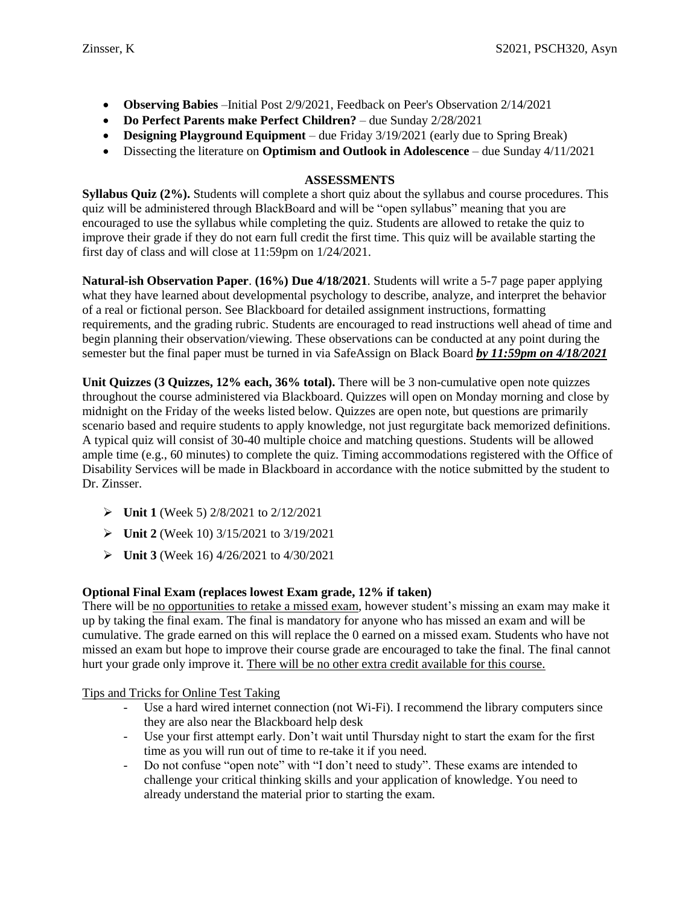- **Observing Babies** –Initial Post 2/9/2021, Feedback on Peer's Observation 2/14/2021
- **Do Perfect Parents make Perfect Children?** due Sunday 2/28/2021
- **Designing Playground Equipment** due Friday 3/19/2021 (early due to Spring Break)
- Dissecting the literature on **Optimism and Outlook in Adolescence** due Sunday 4/11/2021

## **ASSESSMENTS**

**Syllabus Quiz (2%).** Students will complete a short quiz about the syllabus and course procedures. This quiz will be administered through BlackBoard and will be "open syllabus" meaning that you are encouraged to use the syllabus while completing the quiz. Students are allowed to retake the quiz to improve their grade if they do not earn full credit the first time. This quiz will be available starting the first day of class and will close at 11:59pm on 1/24/2021.

**Natural-ish Observation Paper**. **(16%) Due 4/18/2021**. Students will write a 5-7 page paper applying what they have learned about developmental psychology to describe, analyze, and interpret the behavior of a real or fictional person. See Blackboard for detailed assignment instructions, formatting requirements, and the grading rubric. Students are encouraged to read instructions well ahead of time and begin planning their observation/viewing. These observations can be conducted at any point during the semester but the final paper must be turned in via SafeAssign on Black Board *by 11:59pm on 4/18/2021*

**Unit Quizzes (3 Quizzes, 12% each, 36% total).** There will be 3 non-cumulative open note quizzes throughout the course administered via Blackboard. Quizzes will open on Monday morning and close by midnight on the Friday of the weeks listed below. Quizzes are open note, but questions are primarily scenario based and require students to apply knowledge, not just regurgitate back memorized definitions. A typical quiz will consist of 30-40 multiple choice and matching questions. Students will be allowed ample time (e.g., 60 minutes) to complete the quiz. Timing accommodations registered with the Office of Disability Services will be made in Blackboard in accordance with the notice submitted by the student to Dr. Zinsser.

- **Unit 1** (Week 5) 2/8/2021 to 2/12/2021
- **Unit 2** (Week 10) 3/15/2021 to 3/19/2021
- **Unit 3** (Week 16) 4/26/2021 to 4/30/2021

# **Optional Final Exam (replaces lowest Exam grade, 12% if taken)**

There will be no opportunities to retake a missed exam, however student's missing an exam may make it up by taking the final exam. The final is mandatory for anyone who has missed an exam and will be cumulative. The grade earned on this will replace the 0 earned on a missed exam. Students who have not missed an exam but hope to improve their course grade are encouraged to take the final. The final cannot hurt your grade only improve it. There will be no other extra credit available for this course.

Tips and Tricks for Online Test Taking

- Use a hard wired internet connection (not Wi-Fi). I recommend the library computers since they are also near the Blackboard help desk
- Use your first attempt early. Don't wait until Thursday night to start the exam for the first time as you will run out of time to re-take it if you need.
- Do not confuse "open note" with "I don't need to study". These exams are intended to challenge your critical thinking skills and your application of knowledge. You need to already understand the material prior to starting the exam.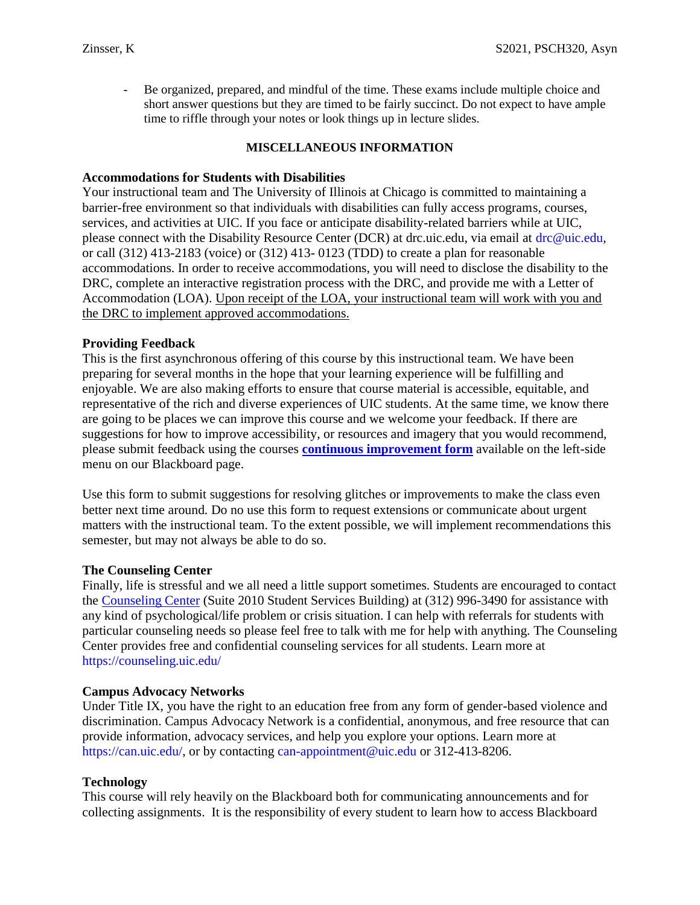- Be organized, prepared, and mindful of the time. These exams include multiple choice and short answer questions but they are timed to be fairly succinct. Do not expect to have ample time to riffle through your notes or look things up in lecture slides.

## **MISCELLANEOUS INFORMATION**

## **Accommodations for Students with Disabilities**

Your instructional team and The University of Illinois at Chicago is committed to maintaining a barrier-free environment so that individuals with disabilities can fully access programs, courses, services, and activities at UIC. If you face or anticipate disability-related barriers while at UIC, please connect with the Disability Resource Center (DCR) at drc.uic.edu, via email at drc@uic.edu, or call (312) 413-2183 (voice) or (312) 413- 0123 (TDD) to create a plan for reasonable accommodations. In order to receive accommodations, you will need to disclose the disability to the DRC, complete an interactive registration process with the DRC, and provide me with a Letter of Accommodation (LOA). Upon receipt of the LOA, your instructional team will work with you and the DRC to implement approved accommodations.

## **Providing Feedback**

This is the first asynchronous offering of this course by this instructional team. We have been preparing for several months in the hope that your learning experience will be fulfilling and enjoyable. We are also making efforts to ensure that course material is accessible, equitable, and representative of the rich and diverse experiences of UIC students. At the same time, we know there are going to be places we can improve this course and we welcome your feedback. If there are suggestions for how to improve accessibility, or resources and imagery that you would recommend, please submit feedback using the courses **[continuous improvement form](https://docs.google.com/forms/d/e/1FAIpQLSdFjnLHB5DeHJccCdcTjPXljprwyVlmlpi2w4tXrvSU-VHHvw/viewform)** available on the left-side menu on our Blackboard page.

Use this form to submit suggestions for resolving glitches or improvements to make the class even better next time around. Do no use this form to request extensions or communicate about urgent matters with the instructional team. To the extent possible, we will implement recommendations this semester, but may not always be able to do so.

### **The Counseling Center**

Finally, life is stressful and we all need a little support sometimes. Students are encouraged to contact the [Counseling Center](http://www.uic.edu/depts/counseling/) (Suite 2010 Student Services Building) at (312) 996-3490 for assistance with any kind of psychological/life problem or crisis situation. I can help with referrals for students with particular counseling needs so please feel free to talk with me for help with anything. The Counseling Center provides free and confidential counseling services for all students. Learn more at https://counseling.uic.edu/

## **Campus Advocacy Networks**

Under Title IX, you have the right to an education free from any form of gender-based violence and discrimination. Campus Advocacy Network is a confidential, anonymous, and free resource that can provide information, advocacy services, and help you explore your options. Learn more at https://can.uic.edu/, or by contacting can-appointment@uic.edu or 312-413-8206.

## **Technology**

This course will rely heavily on the Blackboard both for communicating announcements and for collecting assignments. It is the responsibility of every student to learn how to access Blackboard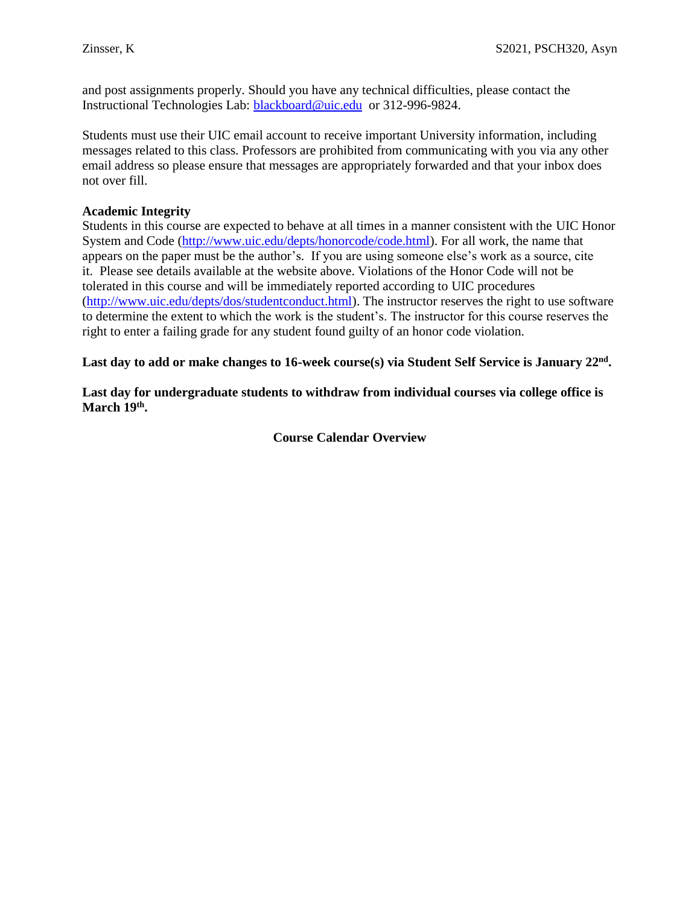and post assignments properly. Should you have any technical difficulties, please contact the Instructional Technologies Lab: [blackboard@uic.edu](mailto:blackboard@uic.edu) or 312-996-9824.

Students must use their UIC email account to receive important University information, including messages related to this class. Professors are prohibited from communicating with you via any other email address so please ensure that messages are appropriately forwarded and that your inbox does not over fill.

## **Academic Integrity**

Students in this course are expected to behave at all times in a manner consistent with the UIC Honor System and Code [\(http://www.uic.edu/depts/honorcode/code.html\)](http://www.uic.edu/depts/honorcode/code.html). For all work, the name that appears on the paper must be the author's. If you are using someone else's work as a source, cite it. Please see details available at the website above. Violations of the Honor Code will not be tolerated in this course and will be immediately reported according to UIC procedures [\(http://www.uic.edu/depts/dos/studentconduct.html\)](http://www.uic.edu/depts/dos/studentconduct.html). The instructor reserves the right to use software to determine the extent to which the work is the student's. The instructor for this course reserves the right to enter a failing grade for any student found guilty of an honor code violation.

Last day to add or make changes to 16-week course(s) via Student Self Service is January 22<sup>nd</sup>.

**Last day for undergraduate students to withdraw from individual courses via college office is March 19th .**

**Course Calendar Overview**